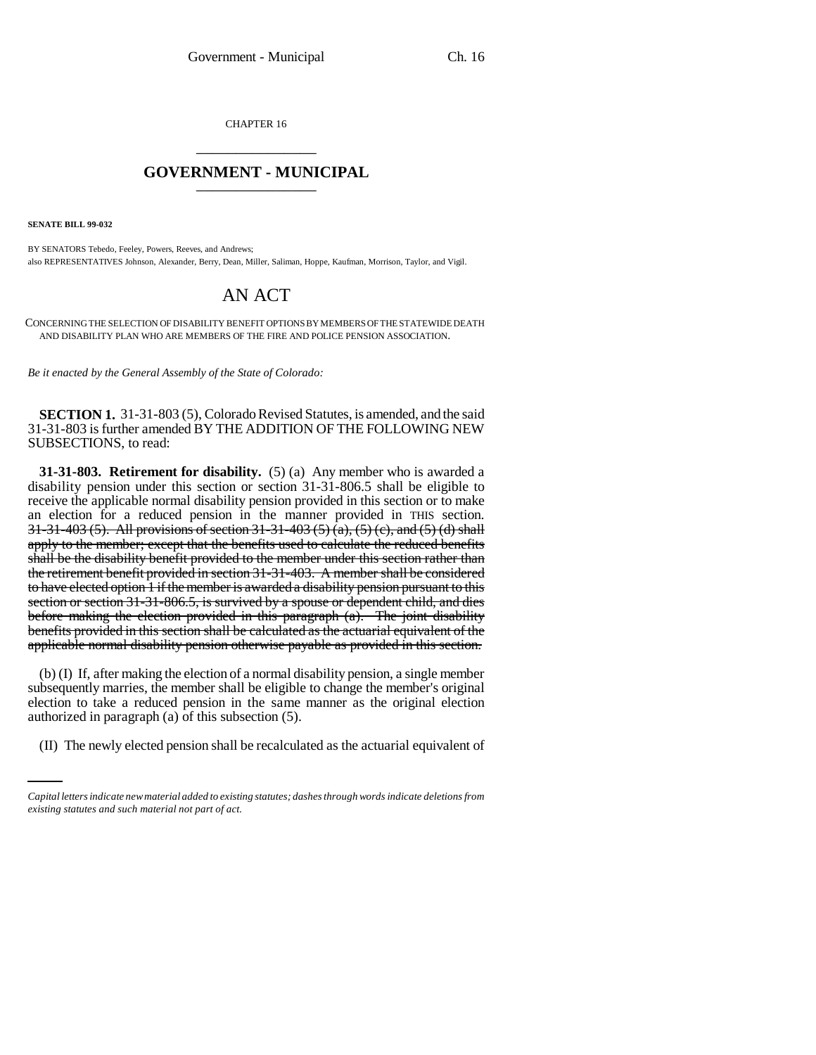CHAPTER 16 \_\_\_\_\_\_\_\_\_\_\_\_\_\_\_

## **GOVERNMENT - MUNICIPAL** \_\_\_\_\_\_\_\_\_\_\_\_\_\_\_

**SENATE BILL 99-032** 

BY SENATORS Tebedo, Feeley, Powers, Reeves, and Andrews; also REPRESENTATIVES Johnson, Alexander, Berry, Dean, Miller, Saliman, Hoppe, Kaufman, Morrison, Taylor, and Vigil.

## AN ACT

CONCERNING THE SELECTION OF DISABILITY BENEFIT OPTIONS BY MEMBERS OF THE STATEWIDE DEATH AND DISABILITY PLAN WHO ARE MEMBERS OF THE FIRE AND POLICE PENSION ASSOCIATION.

*Be it enacted by the General Assembly of the State of Colorado:*

**SECTION 1.** 31-31-803 (5), Colorado Revised Statutes, is amended, and the said 31-31-803 is further amended BY THE ADDITION OF THE FOLLOWING NEW SUBSECTIONS, to read:

**31-31-803. Retirement for disability.** (5) (a) Any member who is awarded a disability pension under this section or section 31-31-806.5 shall be eligible to receive the applicable normal disability pension provided in this section or to make an election for a reduced pension in the manner provided in THIS section. 31-31-403 (5). All provisions of section 31-31-403 (5) (a), (5) (e), and (5) (d) shall apply to the member; except that the benefits used to calculate the reduced benefits shall be the disability benefit provided to the member under this section rather than the retirement benefit provided in section 31-31-403. A member shall be considered to have elected option 1 if the member is awarded a disability pension pursuant to this section or section 31-31-806.5, is survived by a spouse or dependent child, and dies before making the election provided in this paragraph (a). The joint disability benefits provided in this section shall be calculated as the actuarial equivalent of the applicable normal disability pension otherwise payable as provided in this section.

authorized in paragraph (a) of this subsection (5). (b) (I) If, after making the election of a normal disability pension, a single member subsequently marries, the member shall be eligible to change the member's original election to take a reduced pension in the same manner as the original election

(II) The newly elected pension shall be recalculated as the actuarial equivalent of

*Capital letters indicate new material added to existing statutes; dashes through words indicate deletions from existing statutes and such material not part of act.*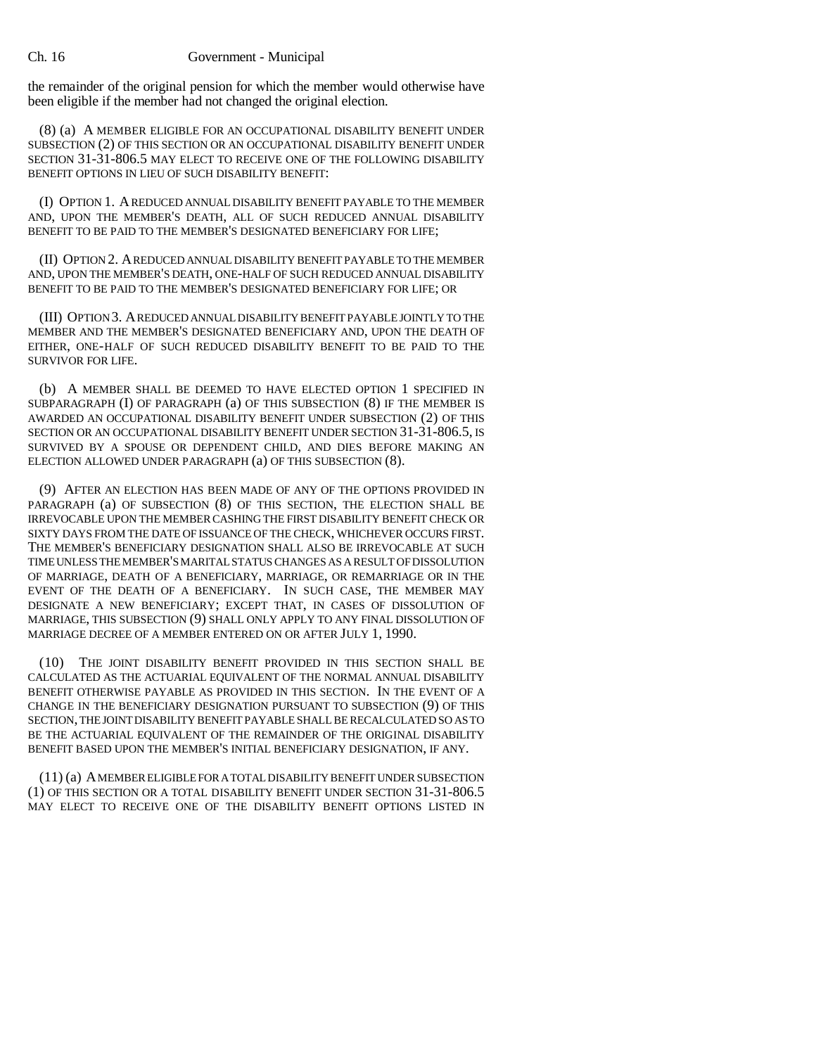## Ch. 16 Government - Municipal

the remainder of the original pension for which the member would otherwise have been eligible if the member had not changed the original election.

(8) (a) A MEMBER ELIGIBLE FOR AN OCCUPATIONAL DISABILITY BENEFIT UNDER SUBSECTION (2) OF THIS SECTION OR AN OCCUPATIONAL DISABILITY BENEFIT UNDER SECTION 31-31-806.5 MAY ELECT TO RECEIVE ONE OF THE FOLLOWING DISABILITY BENEFIT OPTIONS IN LIEU OF SUCH DISABILITY BENEFIT:

(I) OPTION 1. A REDUCED ANNUAL DISABILITY BENEFIT PAYABLE TO THE MEMBER AND, UPON THE MEMBER'S DEATH, ALL OF SUCH REDUCED ANNUAL DISABILITY BENEFIT TO BE PAID TO THE MEMBER'S DESIGNATED BENEFICIARY FOR LIFE;

(II) OPTION 2. A REDUCED ANNUAL DISABILITY BENEFIT PAYABLE TO THE MEMBER AND, UPON THE MEMBER'S DEATH, ONE-HALF OF SUCH REDUCED ANNUAL DISABILITY BENEFIT TO BE PAID TO THE MEMBER'S DESIGNATED BENEFICIARY FOR LIFE; OR

(III) OPTION 3. A REDUCED ANNUAL DISABILITY BENEFIT PAYABLE JOINTLY TO THE MEMBER AND THE MEMBER'S DESIGNATED BENEFICIARY AND, UPON THE DEATH OF EITHER, ONE-HALF OF SUCH REDUCED DISABILITY BENEFIT TO BE PAID TO THE SURVIVOR FOR LIFE.

(b) A MEMBER SHALL BE DEEMED TO HAVE ELECTED OPTION 1 SPECIFIED IN SUBPARAGRAPH (I) OF PARAGRAPH (a) OF THIS SUBSECTION (8) IF THE MEMBER IS AWARDED AN OCCUPATIONAL DISABILITY BENEFIT UNDER SUBSECTION (2) OF THIS SECTION OR AN OCCUPATIONAL DISABILITY BENEFIT UNDER SECTION 31-31-806.5, IS SURVIVED BY A SPOUSE OR DEPENDENT CHILD, AND DIES BEFORE MAKING AN ELECTION ALLOWED UNDER PARAGRAPH (a) OF THIS SUBSECTION (8).

(9) AFTER AN ELECTION HAS BEEN MADE OF ANY OF THE OPTIONS PROVIDED IN PARAGRAPH (a) OF SUBSECTION (8) OF THIS SECTION, THE ELECTION SHALL BE IRREVOCABLE UPON THE MEMBER CASHING THE FIRST DISABILITY BENEFIT CHECK OR SIXTY DAYS FROM THE DATE OF ISSUANCE OF THE CHECK, WHICHEVER OCCURS FIRST. THE MEMBER'S BENEFICIARY DESIGNATION SHALL ALSO BE IRREVOCABLE AT SUCH TIME UNLESS THE MEMBER'S MARITAL STATUS CHANGES AS A RESULT OF DISSOLUTION OF MARRIAGE, DEATH OF A BENEFICIARY, MARRIAGE, OR REMARRIAGE OR IN THE EVENT OF THE DEATH OF A BENEFICIARY. IN SUCH CASE, THE MEMBER MAY DESIGNATE A NEW BENEFICIARY; EXCEPT THAT, IN CASES OF DISSOLUTION OF MARRIAGE, THIS SUBSECTION (9) SHALL ONLY APPLY TO ANY FINAL DISSOLUTION OF MARRIAGE DECREE OF A MEMBER ENTERED ON OR AFTER JULY 1, 1990.

(10) THE JOINT DISABILITY BENEFIT PROVIDED IN THIS SECTION SHALL BE CALCULATED AS THE ACTUARIAL EQUIVALENT OF THE NORMAL ANNUAL DISABILITY BENEFIT OTHERWISE PAYABLE AS PROVIDED IN THIS SECTION. IN THE EVENT OF A CHANGE IN THE BENEFICIARY DESIGNATION PURSUANT TO SUBSECTION (9) OF THIS SECTION, THE JOINT DISABILITY BENEFIT PAYABLE SHALL BE RECALCULATED SO AS TO BE THE ACTUARIAL EQUIVALENT OF THE REMAINDER OF THE ORIGINAL DISABILITY BENEFIT BASED UPON THE MEMBER'S INITIAL BENEFICIARY DESIGNATION, IF ANY.

(11) (a) A MEMBER ELIGIBLE FOR A TOTAL DISABILITY BENEFIT UNDER SUBSECTION (1) OF THIS SECTION OR A TOTAL DISABILITY BENEFIT UNDER SECTION 31-31-806.5 MAY ELECT TO RECEIVE ONE OF THE DISABILITY BENEFIT OPTIONS LISTED IN